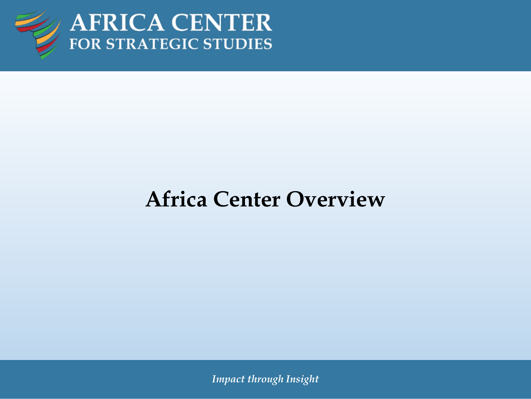

AFRICA CENTER<br>FOR STRATEGIC STUDIES

### **Africa Center Overview**

*Impact through Insight*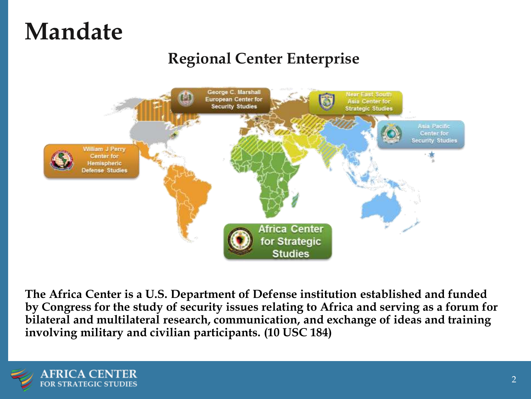### **Mandate**

### **Regional Center Enterprise**



**The Africa Center is a U.S. Department of Defense institution established and funded by Congress for the study of security issues relating to Africa and serving as a forum for bilateral and multilateral research, communication, and exchange of ideas and training involving military and civilian participants. (10 USC 184)**

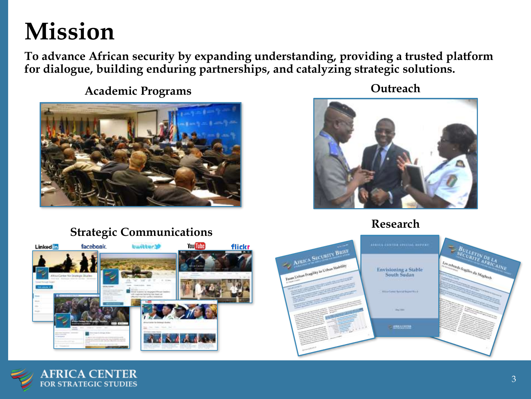## **Mission**

**To advance African security by expanding understanding, providing a trusted platform for dialogue, building enduring partnerships, and catalyzing strategic solutions.**

**Academic Programs**



#### **Strategic Communications**

You Tube **Linked** in facebook. **Ewitter's** flickr



**Outreach**



#### **Research**

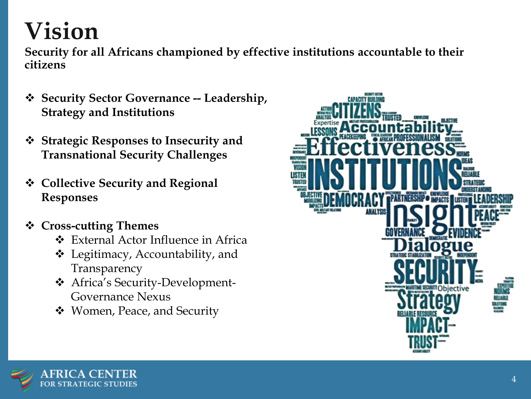## **Vision**

**Security for all Africans championed by effective institutions accountable to their citizens**

- ❖ **Security Sector Governance -- Leadership, Strategy and Institutions**
- ❖ **Strategic Responses to Insecurity and Transnational Security Challenges**
- ❖ **Collective Security and Regional Responses**
- ❖ **Cross-cutting Themes**
	- ❖ External Actor Influence in Africa
	- ❖ Legitimacy, Accountability, and Transparency
	- ❖ Africa's Security-Development-Governance Nexus
	- ❖ Women, Peace, and Security



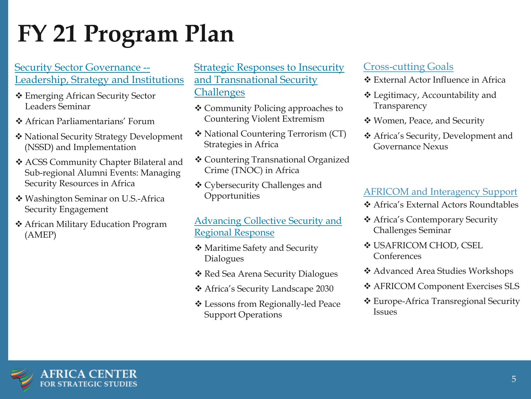# **FY 21 Program Plan**

#### Security Sector Governance -- Leadership, Strategy and Institutions

- ❖ Emerging African Security Sector Leaders Seminar
- ❖ African Parliamentarians' Forum
- ❖ National Security Strategy Development (NSSD) and Implementation
- ❖ ACSS Community Chapter Bilateral and Sub-regional Alumni Events: Managing Security Resources in Africa
- ❖ Washington Seminar on U.S.-Africa Security Engagement
- ❖ African Military Education Program (AMEP)

#### Strategic Responses to Insecurity and Transnational Security **Challenges**

- ❖ Community Policing approaches to Countering Violent Extremism
- ❖ National Countering Terrorism (CT) Strategies in Africa
- ❖ Countering Transnational Organized Crime (TNOC) in Africa
- ❖ Cybersecurity Challenges and Opportunities

#### Advancing Collective Security and Regional Response

- ❖ Maritime Safety and Security Dialogues
- ❖ Red Sea Arena Security Dialogues
- ❖ Africa's Security Landscape 2030
- ❖ Lessons from Regionally-led Peace Support Operations

#### Cross-cutting Goals

- ❖ External Actor Influence in Africa
- ❖ Legitimacy, Accountability and Transparency
- ❖ Women, Peace, and Security
- ❖ Africa's Security, Development and Governance Nexus

#### AFRICOM and Interagency Support

- ❖ Africa's External Actors Roundtables
- ❖ Africa's Contemporary Security Challenges Seminar
- ❖ USAFRICOM CHOD, CSEL Conferences
- ❖ Advanced Area Studies Workshops
- ❖ AFRICOM Component Exercises SLS
- ❖ Europe-Africa Transregional Security Issues

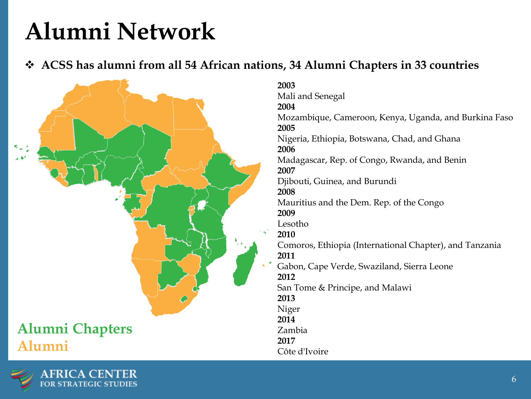## **Alumni Network**

❖ **ACSS has alumni from all 54 African nations, 34 Alumni Chapters in 33 countries**



### **Alumni Chapters | Alumni**



**2003** Mali and Senegal **2004** Mozambique, Cameroon, Kenya, Uganda, and Burkina Faso **2005** Nigeria, Ethiopia, Botswana, Chad, and Ghana **2006** Madagascar, Rep. of Congo, Rwanda, and Benin **2007** Djibouti, Guinea, and Burundi **2008** Mauritius and the Dem. Rep. of the Congo **2009** Lesotho **2010** Comoros, Ethiopia (International Chapter), and Tanzania **2011** Gabon, Cape Verde, Swaziland, Sierra Leone **2012** San Tome & Principe, and Malawi **2013** Niger **2014**

Zambia

**2017**

Côte d'Ivoire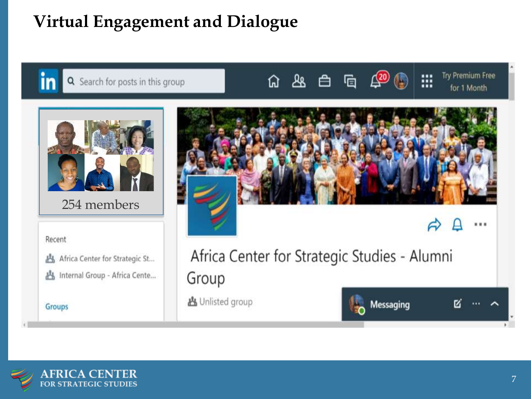### **Virtual Engagement and Dialogue**